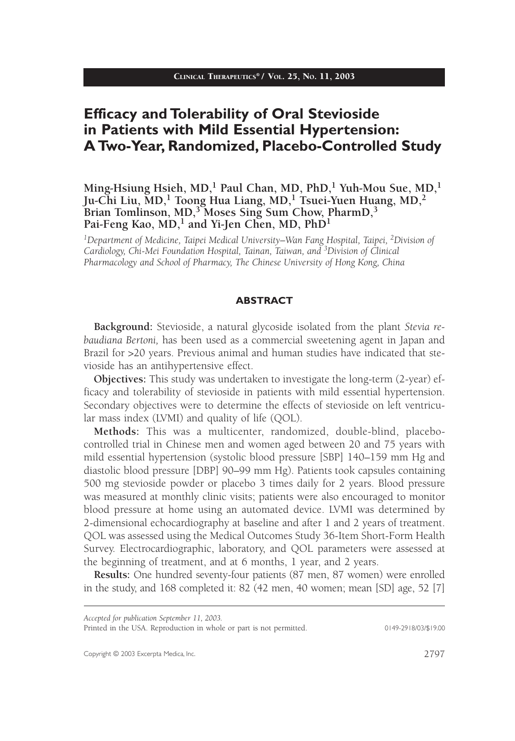# **Efficacy and Tolerability of Oral Stevioside in Patients with Mild Essential Hypertension: A Two-Year, Randomized, Placebo-Controlled Study**

## **Ming-Hsiung Hsieh, MD,1 Paul Chan, MD, PhD,1 Yuh-Mou Sue, MD,<sup>1</sup> Ju-Chi Liu, MD,1 Toong Hua Liang, MD,1 Tsuei-Yuen Huang, MD,2 Brian Tomlinson, MD,3 Moses Sing Sum Chow, PharmD,3** Pai-Feng Kao, MD,<sup>1</sup> and Yi-Jen Chen, MD, PhD<sup>1</sup>

*1Department of Medicine, Taipei Medical University–Wan Fang Hospital, Taipei, 2Division of Cardiology, Chi-Mei Foundation Hospital, Tainan, Taiwan, and 3Division of Clinical Pharmacology and School of Pharmacy, The Chinese University of Hong Kong, China*

#### **ABSTRACT**

**Background:** Stevioside, a natural glycoside isolated from the plant *Stevia rebaudiana Bertoni,* has been used as a commercial sweetening agent in Japan and Brazil for >20 years. Previous animal and human studies have indicated that stevioside has an antihypertensive effect.

**Objectives:** This study was undertaken to investigate the long-term (2-year) efficacy and tolerability of stevioside in patients with mild essential hypertension. Secondary objectives were to determine the effects of stevioside on left ventricular mass index (LVMI) and quality of life (QOL).

**Methods:** This was a multicenter, randomized, double-blind, placebocontrolled trial in Chinese men and women aged between 20 and 75 years with mild essential hypertension (systolic blood pressure [SBP] 140–159 mm Hg and diastolic blood pressure [DBP] 90–99 mm Hg). Patients took capsules containing 500 mg stevioside powder or placebo 3 times daily for 2 years. Blood pressure was measured at monthly clinic visits; patients were also encouraged to monitor blood pressure at home using an automated device. LVMI was determined by 2-dimensional echocardiography at baseline and after 1 and 2 years of treatment. QOL was assessed using the Medical Outcomes Study 36-Item Short-Form Health Survey. Electrocardiographic, laboratory, and QOL parameters were assessed at the beginning of treatment, and at 6 months, 1 year, and 2 years.

**Results:** One hundred seventy-four patients (87 men, 87 women) were enrolled in the study, and 168 completed it: 82 (42 men, 40 women; mean [SD] age, 52 [7]

Printed in the USA. Reproduction in whole or part is not permitted. 0149-2918/03/\$19.00

*Accepted for publication September 11, 2003.*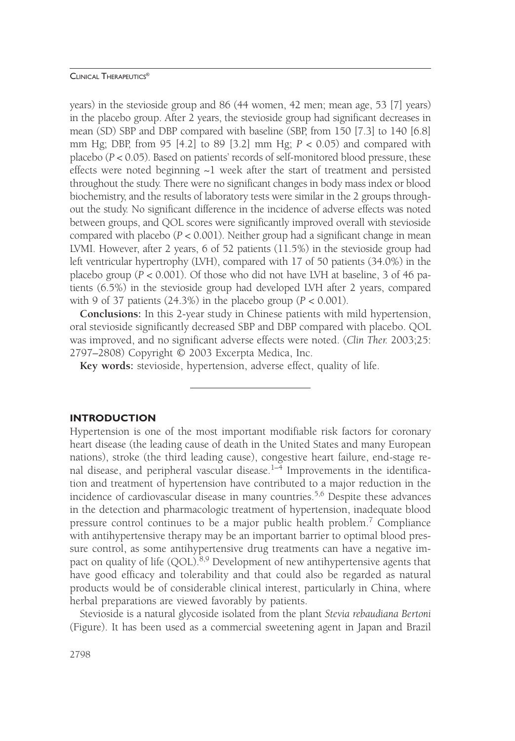years) in the stevioside group and 86 (44 women, 42 men; mean age, 53 [7] years) in the placebo group. After 2 years, the stevioside group had significant decreases in mean (SD) SBP and DBP compared with baseline (SBP, from 150 [7.3] to 140 [6.8] mm Hg; DBP, from 95 [4.2] to 89 [3.2] mm Hg; *P* < 0.05) and compared with placebo (*P* < 0.05). Based on patients' records of self-monitored blood pressure, these effects were noted beginning  $\sim$ 1 week after the start of treatment and persisted throughout the study. There were no significant changes in body mass index or blood biochemistry, and the results of laboratory tests were similar in the 2 groups throughout the study. No significant difference in the incidence of adverse effects was noted between groups, and QOL scores were significantly improved overall with stevioside compared with placebo (*P* < 0.001). Neither group had a significant change in mean LVMI. However, after 2 years, 6 of 52 patients (11.5%) in the stevioside group had left ventricular hypertrophy (LVH), compared with 17 of 50 patients (34.0%) in the placebo group  $(P < 0.001)$ . Of those who did not have LVH at baseline, 3 of 46 patients (6.5%) in the stevioside group had developed LVH after 2 years, compared with 9 of 37 patients  $(24.3\%)$  in the placebo group  $(P < 0.001)$ .

**Conclusions:** In this 2-year study in Chinese patients with mild hypertension, oral stevioside significantly decreased SBP and DBP compared with placebo. QOL was improved, and no significant adverse effects were noted. (*Clin Ther.* 2003;25: 2797–2808) Copyright © 2003 Excerpta Medica, Inc.

**Key words:** stevioside, hypertension, adverse effect, quality of life.

## **INTRODUCTION**

Hypertension is one of the most important modifiable risk factors for coronary heart disease (the leading cause of death in the United States and many European nations), stroke (the third leading cause), congestive heart failure, end-stage renal disease, and peripheral vascular disease. $1-4$  Improvements in the identification and treatment of hypertension have contributed to a major reduction in the incidence of cardiovascular disease in many countries.<sup>5,6</sup> Despite these advances in the detection and pharmacologic treatment of hypertension, inadequate blood pressure control continues to be a major public health problem.<sup>7</sup> Compliance with antihypertensive therapy may be an important barrier to optimal blood pressure control, as some antihypertensive drug treatments can have a negative impact on quality of life (QOL).<sup>8,9</sup> Development of new antihypertensive agents that have good efficacy and tolerability and that could also be regarded as natural products would be of considerable clinical interest, particularly in China, where herbal preparations are viewed favorably by patients.

Stevioside is a natural glycoside isolated from the plant *Stevia rebaudiana Bertoni* (Figure). It has been used as a commercial sweetening agent in Japan and Brazil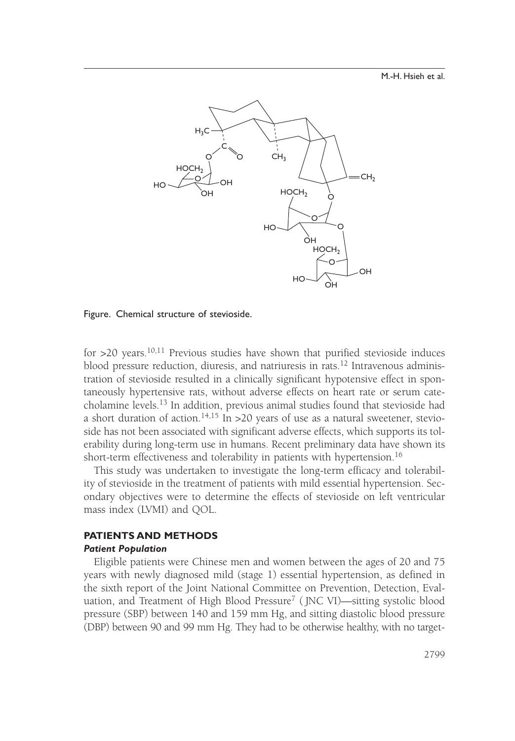M.-H. Hsieh et al.



Figure. Chemical structure of stevioside.

for  $>$ 20 years.<sup>10,11</sup> Previous studies have shown that purified stevioside induces blood pressure reduction, diuresis, and natriuresis in rats.<sup>12</sup> Intravenous administration of stevioside resulted in a clinically significant hypotensive effect in spontaneously hypertensive rats, without adverse effects on heart rate or serum catecholamine levels.13 In addition, previous animal studies found that stevioside had a short duration of action.<sup>14,15</sup> In >20 years of use as a natural sweetener, stevioside has not been associated with significant adverse effects, which supports its tolerability during long-term use in humans. Recent preliminary data have shown its short-term effectiveness and tolerability in patients with hypertension.<sup>16</sup>

This study was undertaken to investigate the long-term efficacy and tolerability of stevioside in the treatment of patients with mild essential hypertension. Secondary objectives were to determine the effects of stevioside on left ventricular mass index (LVMI) and QOL.

## **PATIENTS AND METHODS**

#### *Patient Population*

Eligible patients were Chinese men and women between the ages of 20 and 75 years with newly diagnosed mild (stage 1) essential hypertension, as defined in the sixth report of the Joint National Committee on Prevention, Detection, Evaluation, and Treatment of High Blood Pressure<sup>7</sup> (JNC VI)—sitting systolic blood pressure (SBP) between 140 and 159 mm Hg, and sitting diastolic blood pressure (DBP) between 90 and 99 mm Hg. They had to be otherwise healthy, with no target-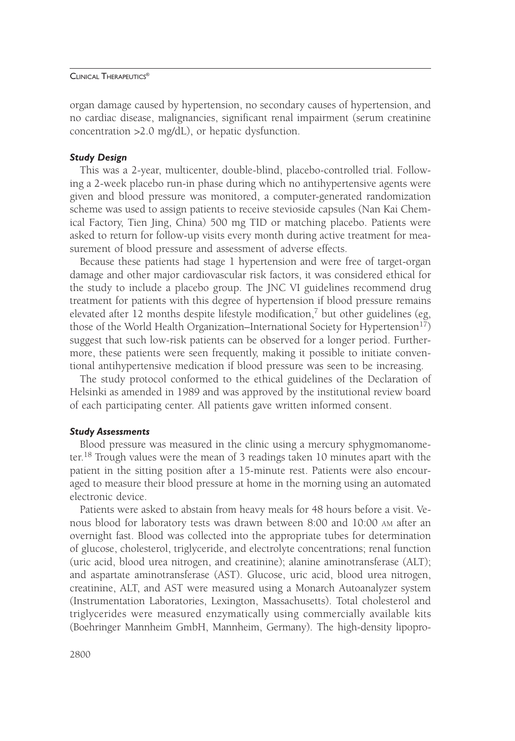organ damage caused by hypertension, no secondary causes of hypertension, and no cardiac disease, malignancies, significant renal impairment (serum creatinine concentration >2.0 mg/dL), or hepatic dysfunction.

#### *Study Design*

This was a 2-year, multicenter, double-blind, placebo-controlled trial. Following a 2-week placebo run-in phase during which no antihypertensive agents were given and blood pressure was monitored, a computer-generated randomization scheme was used to assign patients to receive stevioside capsules (Nan Kai Chemical Factory, Tien Jing, China) 500 mg TID or matching placebo. Patients were asked to return for follow-up visits every month during active treatment for measurement of blood pressure and assessment of adverse effects.

Because these patients had stage 1 hypertension and were free of target-organ damage and other major cardiovascular risk factors, it was considered ethical for the study to include a placebo group. The JNC VI guidelines recommend drug treatment for patients with this degree of hypertension if blood pressure remains elevated after 12 months despite lifestyle modification,<sup>7</sup> but other guidelines (eg, those of the World Health Organization–International Society for Hypertension<sup>17</sup>) suggest that such low-risk patients can be observed for a longer period. Furthermore, these patients were seen frequently, making it possible to initiate conventional antihypertensive medication if blood pressure was seen to be increasing.

The study protocol conformed to the ethical guidelines of the Declaration of Helsinki as amended in 1989 and was approved by the institutional review board of each participating center. All patients gave written informed consent.

## *Study Assessments*

Blood pressure was measured in the clinic using a mercury sphygmomanometer.18 Trough values were the mean of 3 readings taken 10 minutes apart with the patient in the sitting position after a 15-minute rest. Patients were also encouraged to measure their blood pressure at home in the morning using an automated electronic device.

Patients were asked to abstain from heavy meals for 48 hours before a visit. Venous blood for laboratory tests was drawn between 8:00 and 10:00 AM after an overnight fast. Blood was collected into the appropriate tubes for determination of glucose, cholesterol, triglyceride, and electrolyte concentrations; renal function (uric acid, blood urea nitrogen, and creatinine); alanine aminotransferase (ALT); and aspartate aminotransferase (AST). Glucose, uric acid, blood urea nitrogen, creatinine, ALT, and AST were measured using a Monarch Autoanalyzer system (Instrumentation Laboratories, Lexington, Massachusetts). Total cholesterol and triglycerides were measured enzymatically using commercially available kits (Boehringer Mannheim GmbH, Mannheim, Germany). The high-density lipopro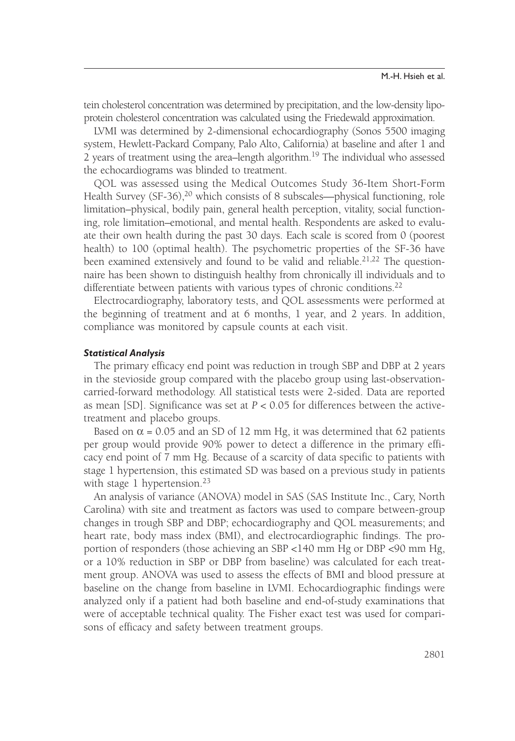tein cholesterol concentration was determined by precipitation, and the low-density lipoprotein cholesterol concentration was calculated using the Friedewald approximation.

LVMI was determined by 2-dimensional echocardiography (Sonos 5500 imaging system, Hewlett-Packard Company, Palo Alto, California) at baseline and after 1 and 2 years of treatment using the area–length algorithm.<sup>19</sup> The individual who assessed the echocardiograms was blinded to treatment.

QOL was assessed using the Medical Outcomes Study 36-Item Short-Form Health Survey  $(SF-36)$ ,<sup>20</sup> which consists of 8 subscales—physical functioning, role limitation–physical, bodily pain, general health perception, vitality, social functioning, role limitation–emotional, and mental health. Respondents are asked to evaluate their own health during the past 30 days. Each scale is scored from 0 (poorest health) to 100 (optimal health). The psychometric properties of the SF-36 have been examined extensively and found to be valid and reliable.<sup>21,22</sup> The questionnaire has been shown to distinguish healthy from chronically ill individuals and to differentiate between patients with various types of chronic conditions.<sup>22</sup>

Electrocardiography, laboratory tests, and QOL assessments were performed at the beginning of treatment and at 6 months, 1 year, and 2 years. In addition, compliance was monitored by capsule counts at each visit.

## *Statistical Analysis*

The primary efficacy end point was reduction in trough SBP and DBP at 2 years in the stevioside group compared with the placebo group using last-observationcarried-forward methodology. All statistical tests were 2-sided. Data are reported as mean [SD]. Significance was set at *P* < 0.05 for differences between the activetreatment and placebo groups.

Based on  $\alpha$  = 0.05 and an SD of 12 mm Hg, it was determined that 62 patients per group would provide 90% power to detect a difference in the primary efficacy end point of 7 mm Hg. Because of a scarcity of data specific to patients with stage 1 hypertension, this estimated SD was based on a previous study in patients with stage 1 hypertension.<sup>23</sup>

An analysis of variance (ANOVA) model in SAS (SAS Institute Inc., Cary, North Carolina) with site and treatment as factors was used to compare between-group changes in trough SBP and DBP; echocardiography and QOL measurements; and heart rate, body mass index (BMI), and electrocardiographic findings. The proportion of responders (those achieving an SBP <140 mm Hg or DBP <90 mm Hg, or a 10% reduction in SBP or DBP from baseline) was calculated for each treatment group. ANOVA was used to assess the effects of BMI and blood pressure at baseline on the change from baseline in LVMI. Echocardiographic findings were analyzed only if a patient had both baseline and end-of-study examinations that were of acceptable technical quality. The Fisher exact test was used for comparisons of efficacy and safety between treatment groups.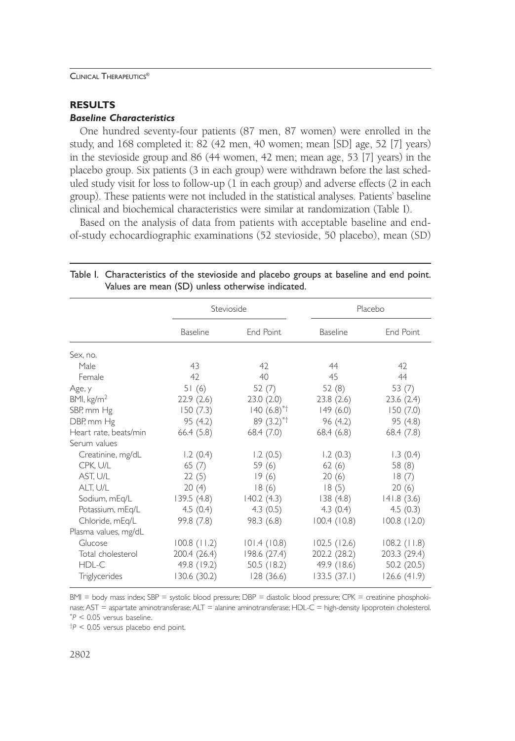## **RESULTS**

## *Baseline Characteristics*

One hundred seventy-four patients (87 men, 87 women) were enrolled in the study, and 168 completed it: 82 (42 men, 40 women; mean [SD] age, 52 [7] years) in the stevioside group and 86 (44 women, 42 men; mean age, 53 [7] years) in the placebo group. Six patients (3 in each group) were withdrawn before the last scheduled study visit for loss to follow-up (1 in each group) and adverse effects (2 in each group). These patients were not included in the statistical analyses. Patients' baseline clinical and biochemical characteristics were similar at randomization (Table I).

Based on the analysis of data from patients with acceptable baseline and endof-study echocardiographic examinations (52 stevioside, 50 placebo), mean (SD)

|                        | Stevioside      |                          |                 | Placebo          |  |
|------------------------|-----------------|--------------------------|-----------------|------------------|--|
|                        | <b>Baseline</b> | End Point                | <b>Baseline</b> | End Point        |  |
| Sex, no.               |                 |                          |                 |                  |  |
| Male                   | 43              | 42                       | 44              | 42               |  |
| Female                 | 42              | 40                       | 45              | 44               |  |
| Age, y                 | 51(6)           | 52 $(7)$                 | 52(8)           | 53 $(7)$         |  |
| BMI, kg/m <sup>2</sup> | 22.9(2.6)       | 23.0(2.0)                | 23.8(2.6)       | 23.6(2.4)        |  |
| SBP, mm Hg             | 150(7.3)        | $140(6.8)$ <sup>*†</sup> | 149(6.0)        | 150(7.0)         |  |
| DBP, mm Hg             | 95 (4.2)        | $89(3.2)^{*+}$           | 96 (4.2)        | 95 (4.8)         |  |
| Heart rate, beats/min  | 66.4(5.8)       | 68.4(7.0)                | 68.4(6.8)       | 68.4(7.8)        |  |
| Serum values           |                 |                          |                 |                  |  |
| Creatinine, mg/dL      | 1.2(0.4)        | 1.2(0.5)                 | 1.2(0.3)        | 1.3(0.4)         |  |
| CPK, U/L               | 65(7)           | 59(6)                    | 62(6)           | 58 (8)           |  |
| AST, U/L               | 22(5)           | 19(6)                    | 20(6)           | 18(7)            |  |
| ALT, U/L               | 20(4)           | 18(6)                    | 18(5)           | 20(6)            |  |
| Sodium, mEq/L          | 139.5(4.8)      | 140.2(4.3)               | 138(4.8)        | 141.8(3.6)       |  |
| Potassium, mEq/L       | 4.5(0.4)        | 4.3(0.5)                 | 4.3(0.4)        | 4.5(0.3)         |  |
| Chloride, mEq/L        | 99.8 (7.8)      | 98.3 (6.8)               | 100.4(10.8)     | $100.8$ $(12.0)$ |  |
| Plasma values, mg/dL   |                 |                          |                 |                  |  |
| Glucose                | $100.8$ (11.2)  | 101.4(10.8)              | 102.5(12.6)     | $108.2$ (11.8)   |  |
| Total cholesterol      | 200.4 (26.4)    | 198.6 (27.4)             | 202.2 (28.2)    | 203.3 (29.4)     |  |
| HDL-C                  | 49.8 (19.2)     | 50.5 $(18.2)$            | 49.9 (18.6)     | 50.2(20.5)       |  |
| Triglycerides          | 130.6 (30.2)    | 128 (36.6)               | 133.5(37.1)     | 126.6(41.9)      |  |

## Table I. Characteristics of the stevioside and placebo groups at baseline and end point. Values are mean (SD) unless otherwise indicated.

BMI = body mass index; SBP = systolic blood pressure; DBP = diastolic blood pressure; CPK = creatinine phosphokinase;AST = aspartate aminotransferase;ALT = alanine aminotransferase; HDL-C = high-density lipoprotein cholesterol. \* *P* < 0.05 versus baseline.

†*P* < 0.05 versus placebo end point.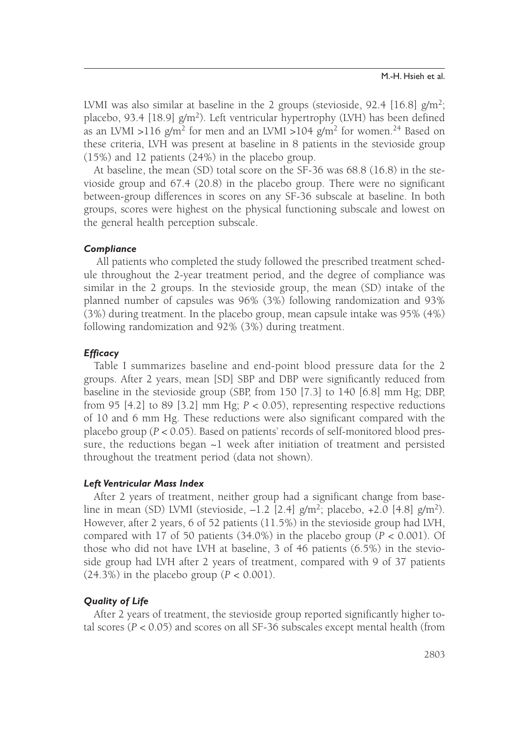LVMI was also similar at baseline in the 2 groups (stevioside, 92.4 [16.8]  $g/m^2$ ; placebo, 93.4 [18.9]  $g/m^2$ ). Left ventricular hypertrophy (LVH) has been defined as an LVMI >116  $g/m^2$  for men and an LVMI >104  $g/m^2$  for women.<sup>24</sup> Based on these criteria, LVH was present at baseline in 8 patients in the stevioside group (15%) and 12 patients (24%) in the placebo group.

At baseline, the mean (SD) total score on the SF-36 was 68.8 (16.8) in the stevioside group and 67.4 (20.8) in the placebo group. There were no significant between-group differences in scores on any SF-36 subscale at baseline. In both groups, scores were highest on the physical functioning subscale and lowest on the general health perception subscale.

## *Compliance*

All patients who completed the study followed the prescribed treatment schedule throughout the 2-year treatment period, and the degree of compliance was similar in the 2 groups. In the stevioside group, the mean (SD) intake of the planned number of capsules was 96% (3%) following randomization and 93% (3%) during treatment. In the placebo group, mean capsule intake was 95% (4%) following randomization and 92% (3%) during treatment.

#### *Efficacy*

Table I summarizes baseline and end-point blood pressure data for the 2 groups. After 2 years, mean [SD] SBP and DBP were significantly reduced from baseline in the stevioside group (SBP, from 150 [7.3] to 140 [6.8] mm Hg; DBP, from 95 [4.2] to 89 [3.2] mm Hg; *P* < 0.05), representing respective reductions of 10 and 6 mm Hg. These reductions were also significant compared with the placebo group (*P* < 0.05). Based on patients' records of self-monitored blood pressure, the reductions began  $\sim$  l week after initiation of treatment and persisted throughout the treatment period (data not shown).

#### *Left Ventricular Mass Index*

After 2 years of treatment, neither group had a significant change from baseline in mean (SD) LVMI (stevioside,  $-1.2$  [2.4] g/m<sup>2</sup>; placebo,  $+2.0$  [4.8] g/m<sup>2</sup>). However, after 2 years, 6 of 52 patients (11.5%) in the stevioside group had LVH, compared with 17 of 50 patients (34.0%) in the placebo group (*P* < 0.001). Of those who did not have LVH at baseline, 3 of 46 patients (6.5%) in the stevioside group had LVH after 2 years of treatment, compared with 9 of 37 patients  $(24.3\%)$  in the placebo group  $(P < 0.001)$ .

## *Quality of Life*

After 2 years of treatment, the stevioside group reported significantly higher total scores (*P* < 0.05) and scores on all SF-36 subscales except mental health (from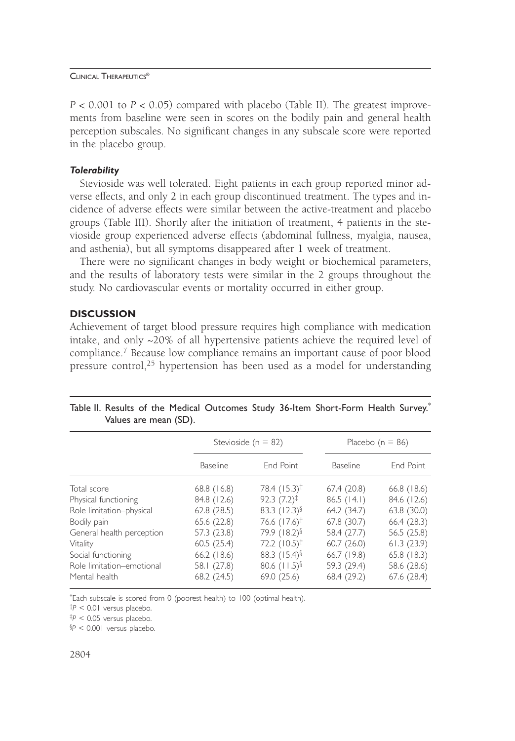$P < 0.001$  to  $P < 0.05$ ) compared with placebo (Table II). The greatest improvements from baseline were seen in scores on the bodily pain and general health perception subscales. No significant changes in any subscale score were reported in the placebo group.

## *Tolerability*

Stevioside was well tolerated. Eight patients in each group reported minor adverse effects, and only 2 in each group discontinued treatment. The types and incidence of adverse effects were similar between the active-treatment and placebo groups (Table III). Shortly after the initiation of treatment, 4 patients in the stevioside group experienced adverse effects (abdominal fullness, myalgia, nausea, and asthenia), but all symptoms disappeared after 1 week of treatment.

There were no significant changes in body weight or biochemical parameters, and the results of laboratory tests were similar in the 2 groups throughout the study. No cardiovascular events or mortality occurred in either group.

## **DISCUSSION**

Achievement of target blood pressure requires high compliance with medication intake, and only ~20% of all hypertensive patients achieve the required level of compliance.<sup>7</sup> Because low compliance remains an important cause of poor blood pressure control,<sup>25</sup> hypertension has been used as a model for understanding

|  |                       |  | Table II. Results of the Medical Outcomes Study 36-Item Short-Form Health Survey. |  |
|--|-----------------------|--|-----------------------------------------------------------------------------------|--|
|  | Values are mean (SD). |  |                                                                                   |  |

|                           | Stevioside ( $n = 82$ ) |                            | Placebo ( $n = 86$ ) |               |
|---------------------------|-------------------------|----------------------------|----------------------|---------------|
|                           | <b>Baseline</b>         | End Point                  | <b>Baseline</b>      | End Point     |
| Total score               | $68.8$ (16.8)           | 78.4 (15.3) <sup>†</sup>   | 67.4(20.8)           | $66.8$ (18.6) |
| Physical functioning      | 84.8 (12.6)             | $92.3(7.2)^{\ddagger}$     | 86.5(14.1)           | 84.6 (12.6)   |
| Role limitation-physical  | 62.8(28.5)              | 83.3 $(12.3)$ <sup>§</sup> | 64.2 (34.7)          | 63.8(30.0)    |
| Bodily pain               | 65.6 (22.8)             | 76.6 (17.6) <sup>†</sup>   | 67.8 (30.7)          | 66.4 (28.3)   |
| General health perception | 57.3 (23.8)             | 79.9 (18.2) §              | 58.4 (27.7)          | 56.5 (25.8)   |
| Vitality                  | 60.5(25.4)              | 72.2 $(10.5)^{\dagger}$    | 60.7(26.0)           | 61.3(23.9)    |
| Social functioning        | $66.2$ (18.6)           | 88.3 $(15.4)$              | 66.7 (19.8)          | $65.8$ (18.3) |
| Role limitation-emotional | 58.1 (27.8)             | 80.6 $(11.5)$ <sup>§</sup> | 59.3 (29.4)          | 58.6 (28.6)   |
| Mental health             | 68.2 (24.5)             | 69.0(25.6)                 | 68.4 (29.2)          | 67.6(28.4)    |

\* Each subscale is scored from 0 (poorest health) to 100 (optimal health).

†*P* < 0.01 versus placebo.

‡*P* < 0.05 versus placebo.

§ *P* < 0.001 versus placebo.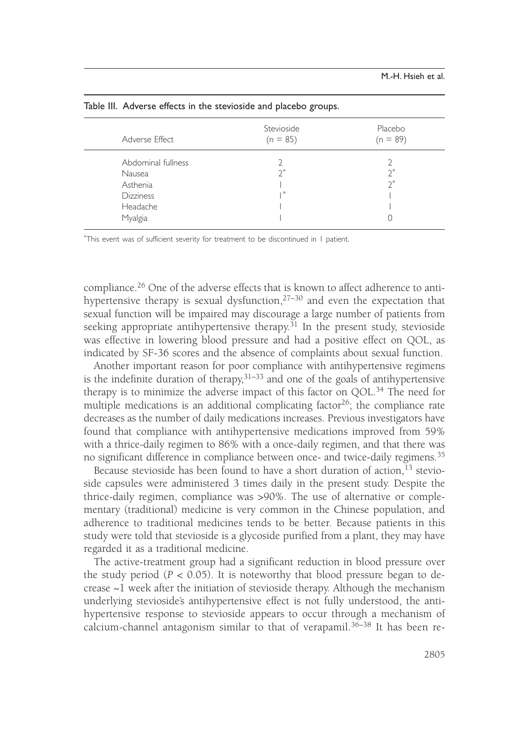| Adverse Effect                                                                      | Stevioside<br>$(n = 85)$ | Placebo<br>$(n = 89)$ |
|-------------------------------------------------------------------------------------|--------------------------|-----------------------|
| Abdominal fullness<br>Nausea<br>Asthenia<br><b>Dizziness</b><br>Headache<br>Myalgia | *                        | $2^*$<br>$2^*$        |

Table III. Adverse effects in the stevioside and placebo groups.

\* This event was of sufficient severity for treatment to be discontinued in 1 patient.

compliance.<sup>26</sup> One of the adverse effects that is known to affect adherence to antihypertensive therapy is sexual dysfunction,  $27-30$  and even the expectation that sexual function will be impaired may discourage a large number of patients from seeking appropriate antihypertensive therapy.<sup>31</sup> In the present study, stevioside was effective in lowering blood pressure and had a positive effect on QOL, as indicated by SF-36 scores and the absence of complaints about sexual function.

Another important reason for poor compliance with antihypertensive regimens is the indefinite duration of therapy,  $31-33$  and one of the goals of antihypertensive therapy is to minimize the adverse impact of this factor on  $QOL$ <sup>34</sup>. The need for multiple medications is an additional complicating factor<sup>26</sup>; the compliance rate decreases as the number of daily medications increases. Previous investigators have found that compliance with antihypertensive medications improved from 59% with a thrice-daily regimen to 86% with a once-daily regimen, and that there was no significant difference in compliance between once- and twice-daily regimens.<sup>35</sup>

Because stevioside has been found to have a short duration of action,  $^{13}$  stevioside capsules were administered 3 times daily in the present study. Despite the thrice-daily regimen, compliance was >90%. The use of alternative or complementary (traditional) medicine is very common in the Chinese population, and adherence to traditional medicines tends to be better. Because patients in this study were told that stevioside is a glycoside purified from a plant, they may have regarded it as a traditional medicine.

The active-treatment group had a significant reduction in blood pressure over the study period  $(P < 0.05)$ . It is noteworthy that blood pressure began to decrease ~1 week after the initiation of stevioside therapy. Although the mechanism underlying stevioside's antihypertensive effect is not fully understood, the antihypertensive response to stevioside appears to occur through a mechanism of calcium-channel antagonism similar to that of verapamil.<sup>36–38</sup> It has been re-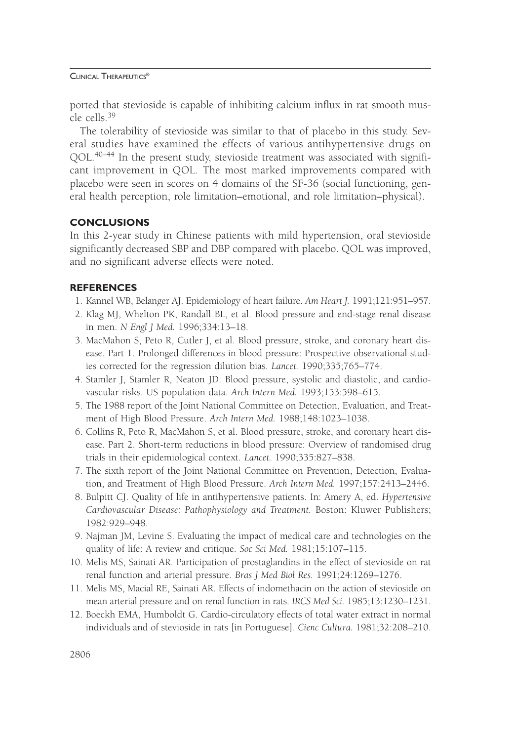ported that stevioside is capable of inhibiting calcium influx in rat smooth muscle cells.39

The tolerability of stevioside was similar to that of placebo in this study. Several studies have examined the effects of various antihypertensive drugs on QOL.<sup>40–44</sup> In the present study, stevioside treatment was associated with significant improvement in QOL. The most marked improvements compared with placebo were seen in scores on 4 domains of the SF-36 (social functioning, general health perception, role limitation–emotional, and role limitation–physical).

## **CONCLUSIONS**

In this 2-year study in Chinese patients with mild hypertension, oral stevioside significantly decreased SBP and DBP compared with placebo. QOL was improved, and no significant adverse effects were noted.

## **REFERENCES**

- 1. Kannel WB, Belanger AJ. Epidemiology of heart failure. *Am Heart J.* 1991;121:951–957.
- 2. Klag MJ, Whelton PK, Randall BL, et al. Blood pressure and end-stage renal disease in men. *N Engl J Med.* 1996;334:13–18.
- 3. MacMahon S, Peto R, Cutler J, et al. Blood pressure, stroke, and coronary heart disease. Part 1. Prolonged differences in blood pressure: Prospective observational studies corrected for the regression dilution bias. *Lancet.* 1990;335;765–774.
- 4. Stamler J, Stamler R, Neaton JD. Blood pressure, systolic and diastolic, and cardiovascular risks. US population data. *Arch Intern Med.* 1993;153:598–615.
- 5. The 1988 report of the Joint National Committee on Detection, Evaluation, and Treatment of High Blood Pressure. *Arch Intern Med.* 1988;148:1023–1038.
- 6. Collins R, Peto R, MacMahon S, et al. Blood pressure, stroke, and coronary heart disease. Part 2. Short-term reductions in blood pressure: Overview of randomised drug trials in their epidemiological context. *Lancet.* 1990;335:827–838.
- 7. The sixth report of the Joint National Committee on Prevention, Detection, Evaluation, and Treatment of High Blood Pressure. *Arch Intern Med.* 1997;157:2413–2446.
- 8. Bulpitt CJ. Quality of life in antihypertensive patients. In: Amery A, ed. *Hypertensive Cardiovascular Disease: Pathophysiology and Treatment.* Boston: Kluwer Publishers; 1982:929–948.
- 9. Najman JM, Levine S. Evaluating the impact of medical care and technologies on the quality of life: A review and critique. *Soc Sci Med.* 1981;15:107–115.
- 10. Melis MS, Sainati AR. Participation of prostaglandins in the effect of stevioside on rat renal function and arterial pressure. *Bras J Med Biol Res.* 1991;24:1269–1276.
- 11. Melis MS, Macial RE, Sainati AR. Effects of indomethacin on the action of stevioside on mean arterial pressure and on renal function in rats. *IRCS Med Sci.* 1985;13:1230–1231.
- 12. Boeckh EMA, Humboldt G. Cardio-circulatory effects of total water extract in normal individuals and of stevioside in rats [in Portuguese]. *Cienc Cultura.* 1981;32:208–210.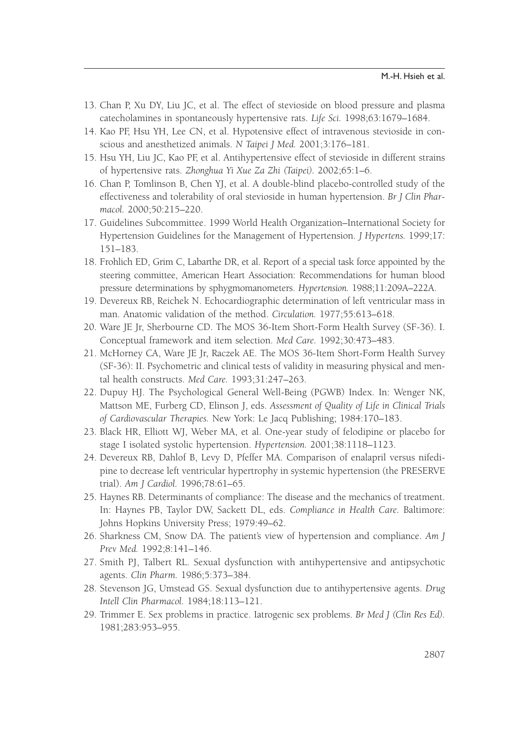- 13. Chan P, Xu DY, Liu JC, et al. The effect of stevioside on blood pressure and plasma catecholamines in spontaneously hypertensive rats. *Life Sci.* 1998;63:1679–1684.
- 14. Kao PF, Hsu YH, Lee CN, et al. Hypotensive effect of intravenous stevioside in conscious and anesthetized animals. *N Taipei J Med.* 2001;3:176–181.
- 15. Hsu YH, Liu JC, Kao PF, et al. Antihypertensive effect of stevioside in different strains of hypertensive rats. *Zhonghua Yi Xue Za Zhi (Taipei).* 2002;65:1–6.
- 16. Chan P, Tomlinson B, Chen YJ, et al. A double-blind placebo-controlled study of the effectiveness and tolerability of oral stevioside in human hypertension. *Br J Clin Pharmacol.* 2000;50:215–220.
- 17. Guidelines Subcommittee. 1999 World Health Organization–International Society for Hypertension Guidelines for the Management of Hypertension. *J Hypertens.* 1999;17: 151–183.
- 18. Frohlich ED, Grim C, Labarthe DR, et al. Report of a special task force appointed by the steering committee, American Heart Association: Recommendations for human blood pressure determinations by sphygmomanometers. *Hypertension.* 1988;11:209A–222A.
- 19. Devereux RB, Reichek N. Echocardiographic determination of left ventricular mass in man. Anatomic validation of the method. *Circulation.* 1977;55:613–618.
- 20. Ware JE Jr, Sherbourne CD. The MOS 36-Item Short-Form Health Survey (SF-36). I. Conceptual framework and item selection. *Med Care.* 1992;30:473–483.
- 21. McHorney CA, Ware JE Jr, Raczek AE. The MOS 36-Item Short-Form Health Survey (SF-36): II. Psychometric and clinical tests of validity in measuring physical and mental health constructs. *Med Care.* 1993;31:247–263.
- 22. Dupuy HJ. The Psychological General Well-Being (PGWB) Index. In: Wenger NK, Mattson ME, Furberg CD, Elinson J, eds. *Assessment of Quality of Life in Clinical Trials of Cardiovascular Therapies.* New York: Le Jacq Publishing; 1984:170–183.
- 23. Black HR, Elliott WJ, Weber MA, et al. One-year study of felodipine or placebo for stage I isolated systolic hypertension. *Hypertension.* 2001;38:1118–1123.
- 24. Devereux RB, Dahlof B, Levy D, Pfeffer MA. Comparison of enalapril versus nifedipine to decrease left ventricular hypertrophy in systemic hypertension (the PRESERVE trial). *Am J Cardiol.* 1996;78:61–65.
- 25. Haynes RB. Determinants of compliance: The disease and the mechanics of treatment. In: Haynes PB, Taylor DW, Sackett DL, eds. *Compliance in Health Care.* Baltimore: Johns Hopkins University Press; 1979:49–62.
- 26. Sharkness CM, Snow DA. The patient's view of hypertension and compliance. *Am J Prev Med.* 1992;8:141–146.
- 27. Smith PJ, Talbert RL. Sexual dysfunction with antihypertensive and antipsychotic agents. *Clin Pharm.* 1986;5:373–384.
- 28. Stevenson JG, Umstead GS. Sexual dysfunction due to antihypertensive agents. *Drug Intell Clin Pharmacol.* 1984;18:113–121.
- 29. Trimmer E. Sex problems in practice. Iatrogenic sex problems. *Br Med J (Clin Res Ed).* 1981;283:953–955.